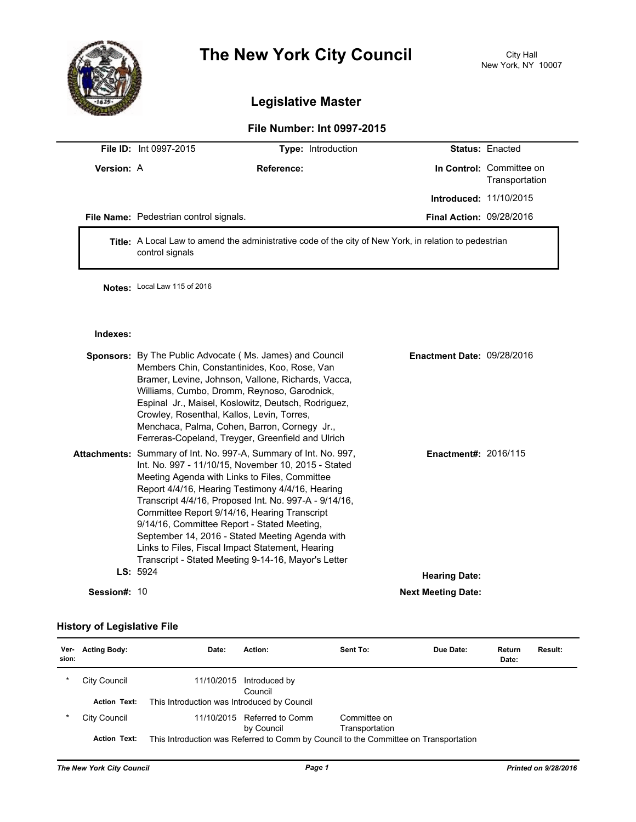

# **The New York City Council** City Hall

# **Legislative Master**

## **File Number: Int 0997-2015**

|                   | <b>File ID:</b> Int 0997-2015                 |            | <b>Type:</b> Introduction       | <b>Status: Enacted</b>                     |
|-------------------|-----------------------------------------------|------------|---------------------------------|--------------------------------------------|
| <b>Version: A</b> |                                               | Reference: |                                 | In Control: Committee on<br>Transportation |
|                   |                                               |            | <b>Introduced: 11/10/2015</b>   |                                            |
|                   | <b>File Name:</b> Pedestrian control signals. |            | <b>Final Action: 09/28/2016</b> |                                            |
|                   |                                               |            |                                 |                                            |

**Title:** A Local Law to amend the administrative code of the city of New York, in relation to pedestrian control signals

**Notes:** Local Law 115 of 2016

#### **Indexes:**

|              | <b>Sponsors:</b> By The Public Advocate (Ms. James) and Council<br>Members Chin, Constantinides, Koo, Rose, Van<br>Bramer, Levine, Johnson, Vallone, Richards, Vacca,<br>Williams, Cumbo, Dromm, Reynoso, Garodnick,<br>Espinal Jr., Maisel, Koslowitz, Deutsch, Rodriguez,<br>Crowley, Rosenthal, Kallos, Levin, Torres,<br>Menchaca, Palma, Cohen, Barron, Cornegy Jr.,<br>Ferreras-Copeland, Treyger, Greenfield and Ulrich                                                                                                                     | <b>Enactment Date: 09/28/2016</b> |  |
|--------------|----------------------------------------------------------------------------------------------------------------------------------------------------------------------------------------------------------------------------------------------------------------------------------------------------------------------------------------------------------------------------------------------------------------------------------------------------------------------------------------------------------------------------------------------------|-----------------------------------|--|
|              | Attachments: Summary of Int. No. 997-A, Summary of Int. No. 997,<br>Int. No. 997 - 11/10/15, November 10, 2015 - Stated<br>Meeting Agenda with Links to Files, Committee<br>Report 4/4/16, Hearing Testimony 4/4/16, Hearing<br>Transcript 4/4/16, Proposed Int. No. 997-A - 9/14/16,<br>Committee Report 9/14/16, Hearing Transcript<br>9/14/16, Committee Report - Stated Meeting,<br>September 14, 2016 - Stated Meeting Agenda with<br>Links to Files, Fiscal Impact Statement, Hearing<br>Transcript - Stated Meeting 9-14-16, Mayor's Letter | <b>Enactment#: 2016/115</b>       |  |
|              | LS: 5924                                                                                                                                                                                                                                                                                                                                                                                                                                                                                                                                           | <b>Hearing Date:</b>              |  |
| Session#: 10 |                                                                                                                                                                                                                                                                                                                                                                                                                                                                                                                                                    | <b>Next Meeting Date:</b>         |  |

### **History of Legislative File**

| Ver-<br>sion: | <b>Acting Body:</b> | Date:                                       | Action:                                                                              | Sent To:                       | Due Date: | Return<br>Date: | <b>Result:</b> |
|---------------|---------------------|---------------------------------------------|--------------------------------------------------------------------------------------|--------------------------------|-----------|-----------------|----------------|
| *             | City Council        | 11/10/2015                                  | Introduced by<br>Council                                                             |                                |           |                 |                |
|               | <b>Action Text:</b> | This Introduction was Introduced by Council |                                                                                      |                                |           |                 |                |
| *             | City Council        | 11/10/2015                                  | Referred to Comm<br>by Council                                                       | Committee on<br>Transportation |           |                 |                |
|               | <b>Action Text:</b> |                                             | This Introduction was Referred to Comm by Council to the Committee on Transportation |                                |           |                 |                |